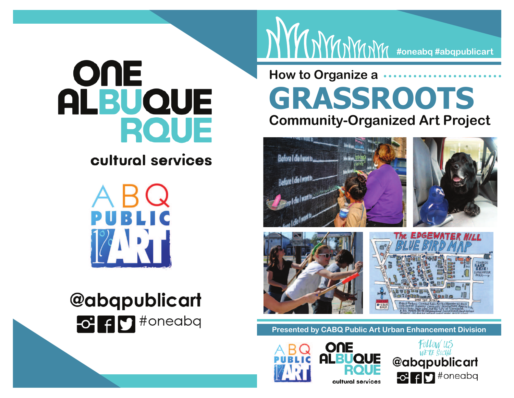# OUE **ALBUQUE RQUE**

### cultural services



# **@abqpublicart**

## **How to Organize a GRASSROOTSCommunity-Organized Art Project**





**#oneabq #abqpublicart**





**Presented by CABQ Public Art Urban Enhancement Division**



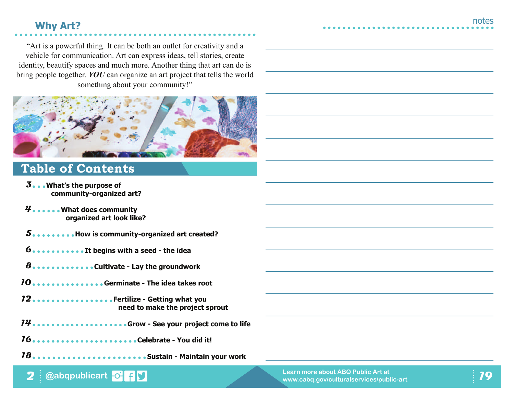#### **Why Art?**

"Art is a powerful thing. It can be both an outlet for creativity and a vehicle for communication. Art can express ideas, tell stories, create identity, beautify spaces and much more. Another thing that art can do is bring people together. *YOU* can organize an art project that tells the world something about your community!"



### **Table of Contents**

- **What's the purpose of 3community-organized art?**
- **What does community 4organized art look like?**
- **How is community-organized art created?5**
- **It begins with a seed the idea6**
- **Cultivate Lay the groundwork8**
- **Germinate The idea takes root10**
- **Fertilize Getting what you 12need to make the project sprout**
- **Grow See your project come to life14**
- **Celebrate You did it!16**
- **Sustain Maintain your work18**

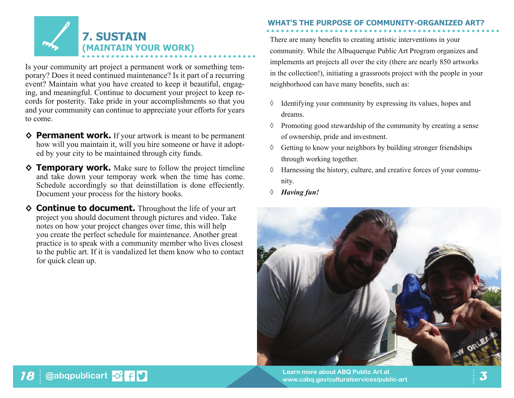

Is your community art project a permanent work or something temporary? Does it need continued maintenance? Is it part of a recurring event? Maintain what you have created to keep it beautiful, engaging, and meaningful. Continue to document your project to keep records for posterity. Take pride in your accomplishments so that you and your community can continue to appreciate your efforts for years to come.

- **◊ Permanent work.** If your artwork is meant to be permanent how will you maintain it, will you hire someone or have it adopted by your city to be maintained through city funds.
- **◊ Temporary work.** Make sure to follow the project timeline and take down your temporay work when the time has come. Schedule accordingly so that deinstillation is done effeciently. Document your process for the history books.
- ◆ **Continue to document.** Throughout the life of your art project you should document through pictures and video. Take notes on how your project changes over time, this will help you create the perfect schedule for maintenance. Another great practice is to speak with a community member who lives closest to the public art. If it is vandalized let them know who to contact for quick clean up.

#### **WHAT'S THE PURPOSE OF COMMUNITY-ORGANIZED ART?**

There are many benefits to creating artistic interventions in your community. While the Albuquerque Public Art Program organizes and implements art projects all over the city (there are nearly 850 artworks in the collection!), initiating a grassroots project with the people in your neighborhood can have many benefits, such as:

- ◊ Identifying your community by expressing its values, hopes and dreams.
- ◊ Promoting good stewardship of the community by creating a sense of ownership, pride and investment.
- ◊ Getting to know your neighbors by building stronger friendships through working together.
- ◊ Harnessing the history, culture, and creative forces of your community.
- *◊ Having fun!*

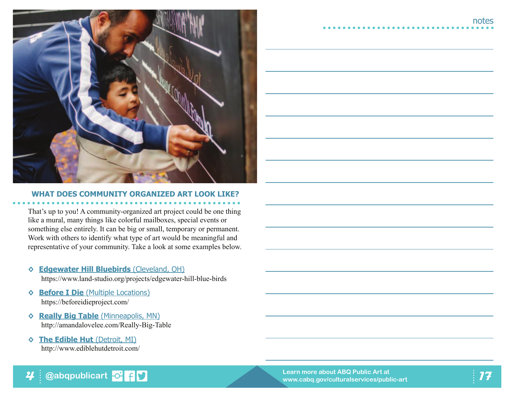

#### **WHAT DOES COMMUNITY ORGANIZED ART LOOK LIKE?**

That's up to you! A community-organized art project could be one thing like a mural, many things like colorful mailboxes, special events or something else entirely. It can be big or small, temporary or permanent. Work with others to identify what type of art would be meaningful and representative of your community. Take a look at some examples below.

#### **◊ Edgewater Hill Bluebirds** (Cleveland, OH)

https://www.land-studio.org/projects/edgewater-hill-blue-birds

- **◊ Before I Die** (Multiple Locations)https://beforeidieproject.com/
- **◊ Really Big Table** (Minneapolis, MN) http://amandalovelee.com/Really-Big-Table

**@abqpublicart**

**◊ The Edible Hut** (Detroit, MI)http://www.ediblehutdetroit.com/

**4**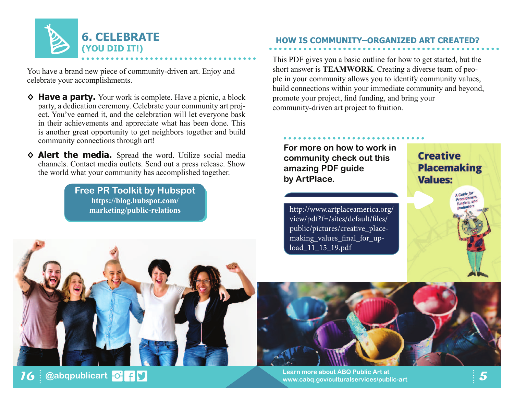

You have a brand new piece of community-driven art. Enjoy and celebrate your accomplishments.

- ◆ **Have a party.** Your work is complete. Have a picnic, a block party, a dedication ceremony. Celebrate your community art project. You've earned it, and the celebration will let everyone bask in their achievements and appreciate what has been done. This is another great opportunity to get neighbors together and build community connections through art!
- **◊ Alert the media.** Spread the word. Utilize social media channels. Contact media outlets. Send out a press release. Show the world what your community has accomplished together.

**Free PR Toolkit by Hubspothttps://blog.hubspot.com/marketing/public-relations**

#### **HOW IS COMMUNITY–ORGANIZED ART CREATED?**

This PDF gives you a basic outline for how to get started, but the short answer is **TEAMWORK**. Creating a diverse team of people in your community allows you to identify community values, build connections within your immediate community and beyond, promote your project, find funding, and bring your community-driven art project to fruition.

**For more on how to work in community check out this amazing PDF guide by ArtPlace.** 

**Creative Placemaking Values:** 

Guide for

http://www.artplaceamerica.org/view/pdf?f=/sites/default/files/ public/pictures/creative\_placemaking\_values\_final\_for\_upload\_11\_15\_19.pdf





**@abqpublicart <sup>5</sup> Learn more about ABQ Public Art at www.cabq.gov/culturalservices/public-art**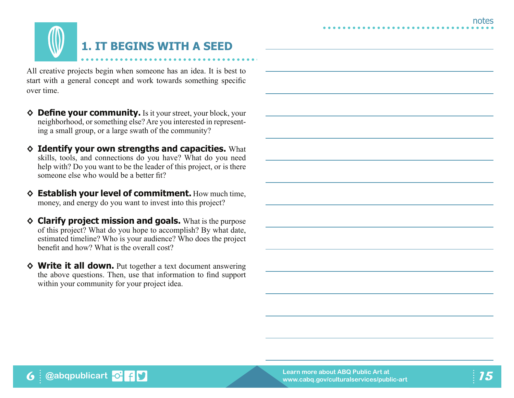

All creative projects begin when someone has an idea. It is best to start with a general concept and work towards something specific over time.

- ◆ Define your community. Is it your street, your block, your neighborhood, or something else? Are you interested in representing a small group, or a large swath of the community?
- **◊ Identify your own strengths and capacities.** What skills, tools, and connections do you have? What do you need help with? Do you want to be the leader of this project, or is there someone else who would be a better fit?
- **◊ Establish your level of commitment.** How much time, money, and energy do you want to invest into this project?
- **◊ Clarify project mission and goals.** What is the purpose of this project? What do you hope to accomplish? By what date, estimated timeline? Who is your audience? Who does the project benefit and how? What is the overall cost?
- **◊ Write it all down.** Put together a text document answering the above questions. Then, use that information to find support within your community for your project idea.

**6 @abqpublicart**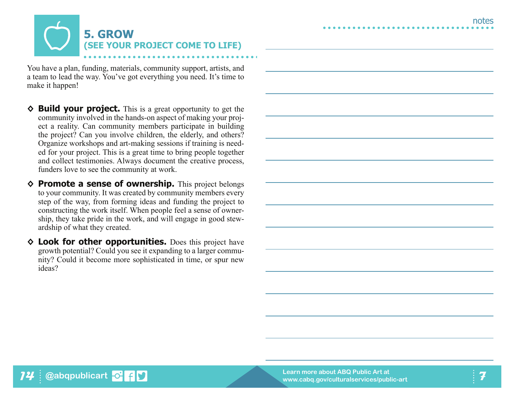

You have a plan, funding, materials, community support, artists, and a team to lead the way. You've got everything you need. It's time to make it happen!

- **◊ Build your project.** This is a great opportunity to get the community involved in the hands-on aspect of making your project a reality. Can community members participate in building the project? Can you involve children, the elderly, and others? Organize workshops and art-making sessions if training is needed for your project. This is a great time to bring people together and collect testimonies. Always document the creative process, funders love to see the community at work.
- **◊ Promote a sense of ownership.** This project belongs to your community. It was created by community members every step of the way, from forming ideas and funding the project to constructing the work itself. When people feel a sense of ownership, they take pride in the work, and will engage in good stewardship of what they created.
- **◊ Look for other opportunities.** Does this project have growth potential? Could you see it expanding to a larger community? Could it become more sophisticated in time, or spur new ideas?

**@abqpublicart c f P** 

**14**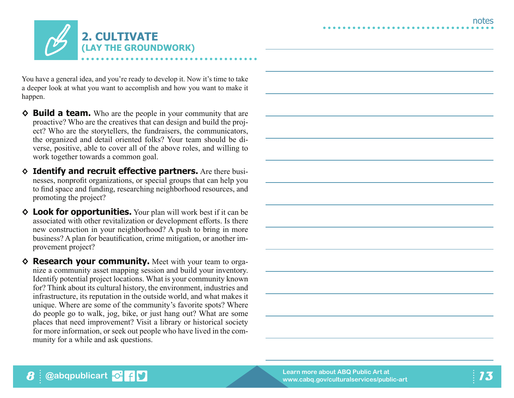

You have a general idea, and you're ready to develop it. Now it's time to take a deeper look at what you want to accomplish and how you want to make it happen.

- ◆ **Build a team.** Who are the people in your community that are proactive? Who are the creatives that can design and build the project? Who are the storytellers, the fundraisers, the communicators, the organized and detail oriented folks? Your team should be diverse, positive, able to cover all of the above roles, and willing to work together towards a common goal.
- **◊ Identify and recruit effective partners.** Are there businesses, nonprofit organizations, or special groups that can help you to find space and funding, researching neighborhood resources, and promoting the project?
- ◆ Look for opportunities. Your plan will work best if it can be associated with other revitalization or development efforts. Is there new construction in your neighborhood? A push to bring in more business? A plan for beautification, crime mitigation, or another improvement project?
- **◊ Research your community.** Meet with your team to organize a community asset mapping session and build your inventory. Identify potential project locations. What is your community known for? Think about its cultural history, the environment, industries and infrastructure, its reputation in the outside world, and what makes it unique. Where are some of the community's favorite spots? Where do people go to walk, jog, bike, or just hang out? What are some places that need improvement? Visit a library or historical society for more information, or seek out people who have lived in the community for a while and ask questions.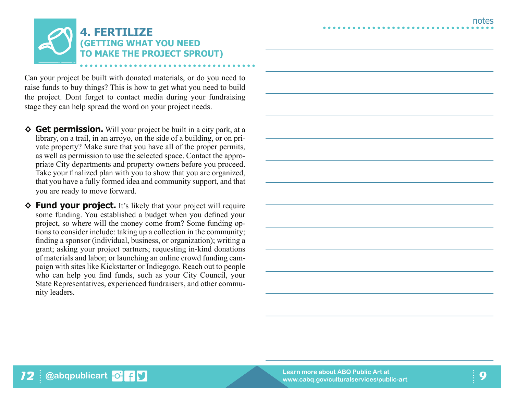

Can your project be built with donated materials, or do you need to raise funds to buy things? This is how to get what you need to build the project. Dont forget to contact media during your fundraising stage they can help spread the word on your project needs.

- **◊ Get permission.** Will your project be built in a city park, at a library, on a trail, in an arroyo, on the side of a building, or on private property? Make sure that you have all of the proper permits, as well as permission to use the selected space. Contact the appropriate City departments and property owners before you proceed. Take your finalized plan with you to show that you are organized, that you have a fully formed idea and community support, and that you are ready to move forward.
- **◊ Fund your project.** It's likely that your project will require some funding. You established a budget when you defined your project, so where will the money come from? Some funding options to consider include: taking up a collection in the community; finding a sponsor (individual, business, or organization); writing a grant; asking your project partners; requesting in-kind donations of materials and labor; or launching an online crowd funding campaign with sites like Kickstarter or Indiegogo. Reach out to people who can help you find funds, such as your City Council, your State Representatives, experienced fundraisers, and other community leaders.